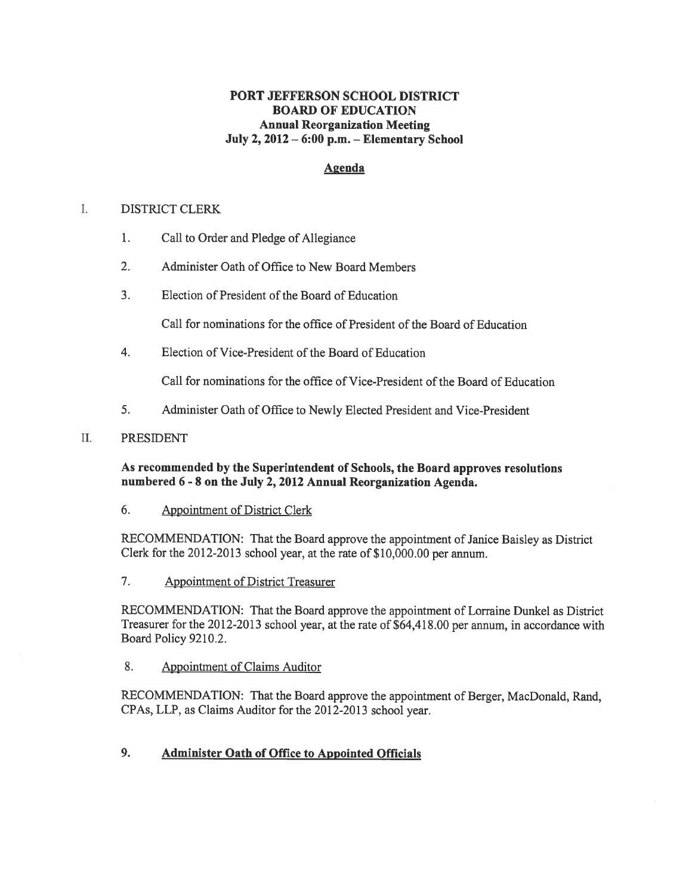### PORT JEFFERSON SCHOOL DISTRICT BOARD OF EDUCATION Annual Reorganization Meeting July 2, 2012 — 6:00 p.m. — Elementary School

### Agenda

#### L DISTRICT CLERK

- 1. Call to Order and Pledge of Allegiance
- 2. Administer Oath of Office to New Board Members
- 3. Election of President of the Board of Education

Call for nominations for the office of President of the Board of Education

4. Election of Vice-President of the Board of Education

Call for nominations for the office of Vice-President of the Board of Education

5. Administer Oath of Office to Newly Elected President and Vice-President

### II. PRESIDENT

As recommended by the Superintendent of Schools, the Board approves resolutions numbered <sup>6</sup> - 8 on the July 2, 2012 Annual Reorganization Agenda.

6. Appointment of District Clerk

RECOMMENDATION: That the Board approve the appointment of Janice Baisley as District Clerk for the 2012-2013 school year, at the rate of \$10,000.00 per annum.

7. Appointment of District Treasurer

RECOMMENDATION: That the Board approve the appointment of Lorraine Dunkel as District Treasurer for the 2012-2013 school year, at the rate of \$64,418.00 per annum, in accordance with Board Policy 9210.2.

8. Appointment of Claims Auditor

RECOMMENDATION: That the Board approve the appointment of Berger, MacDonald, Rand, CPAs, LLP, as Claims Auditor for the 2012-2013 school year.

### 9. Administer Oath of Office to Appointed Officials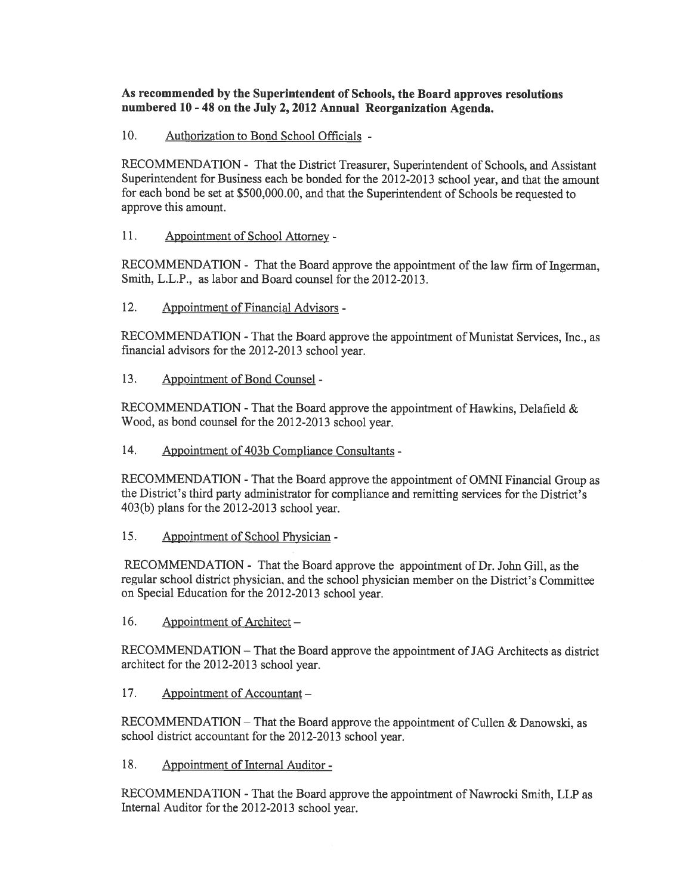### As recommended by the Superintendent of Schools, the Board approves resolutions numbered <sup>10</sup> - <sup>48</sup> on the July 2, <sup>2012</sup> Annual Reorganization Agenda.

10. Authorization to Bond School Officials -

RECOMMENDATION - That the District Treasurer, Superintendent of Schools, and Assistant Superintendent for Business each be bonded for the 2012-2013 school year, and that the amount for each bond be set at \$500,000.00, and that the Superintendent of Schools be requested to approve this amount.

11. Appointment of School Attorney -

RECOMMENDATION - That the Board approve the appointment of the law firm of Ingerman, Smith, L.L.P., as labor and Board counsel for the 2012-2013.

12. Appointment of Financial Advisors -

RECOMMENDATION -That the Board approve the appointment of Munistat Services, Inc., as financial advisors for the 2012-2013 school year.

13. Appointment of Bond Counsel -

RECOMMENDATION -That the Board approve the appointment of Hawkins, Delafield & Wood, as bond counsel for the 2012-2013 school year.

14. Appointment of 403b Compliance Consultants -

RECOMMENDATION -That the Board approve the appointment of OMNI Financial Group as the District's third party administrator for compliance and remitting services for the District's 403(b) <sup>p</sup>lans for the 2012-2013 school year.

15. Appointment of School Physician -

RECOMMENDATION - That the Board approve the appointment of Dr. John Gill, as the regular school district <sup>p</sup>hysician, and the school <sup>p</sup>hysician member on the District's Committee on Special Education for the 2012-2013 school year.

16. Appointment of Architect —

RECOMMENDATION — That the Board approve the appointment of JAG Architects as district architect for the 2012-2013 school year.

17. Appointment of Accountant –

RECOMMENDATION — That the Board approve the appointment of Cullen & Danowski, as school district accountant for the 2012-2013 school year.

18. Appointment of Internal Auditor -

RECOMMENDATION -That the Board approve the appointment of Nawrocki Smith, LLP as Internal Auditor for the 2012-2013 school year.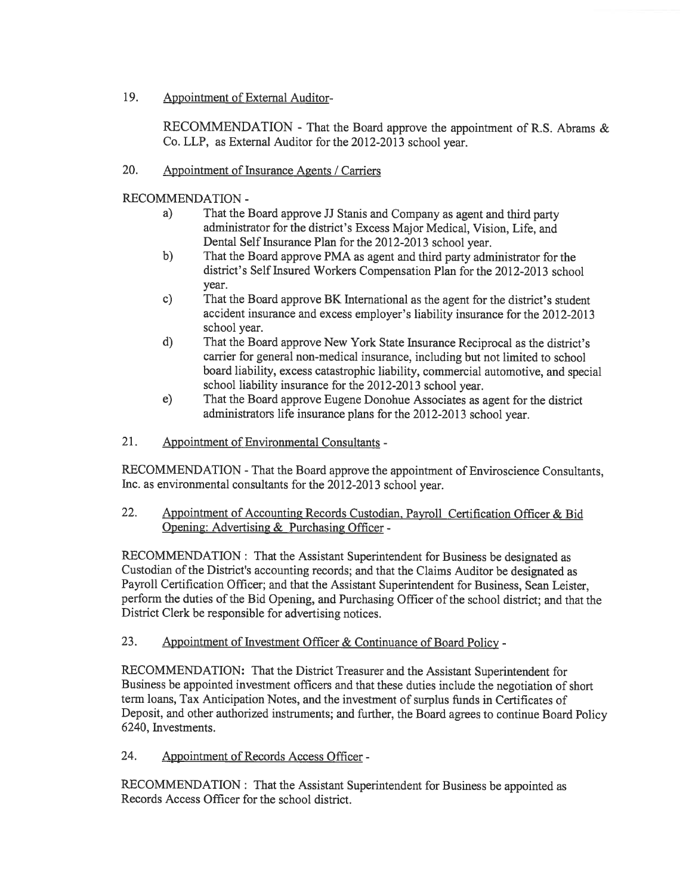19. Appointment of External Auditor-

RECOMMENDATION - That the Board approve the appointment of R.S. Abrams & Co. LLP, as External Auditor for the 2012-2013 school year.

20. Appointment of Insurance Agents / Carriers

RECOMMENDATION -

- a) That the Board approve JJ Stanis and Company as agen<sup>t</sup> and third party administrator for the district's Excess Major Medical, Vision, Life, and Dental Self Insurance Plan for the 2012-2013 school year.
- b) That the Board approve PMA as agen<sup>t</sup> and third party administrator for the district's Self Insured Workers Compensation Plan for the 2012-2013 school year.
- c) That the Board approve BK International as the agen<sup>t</sup> for the district's student accident insurance and excess employer's liability insurance for the 2012-2013 school year.
- d) That the Board approve New York State Insurance Reciprocal as the district's carrier for general non-medical insurance, including but not limited to school board liability, excess catastrophic liability, commercial automotive, and special school liability insurance for the 2012-2013 school year.
- e) That the Board approve Eugene Donohue Associates as agen<sup>t</sup> for the district administrators life insurance <sup>p</sup>lans for the 2012-2013 school year.
- 21. Appointment of Environmental Consultants -

RECOMMENDATION -That the Board approve the appointment of Enviroscience Consultants, Inc. as environmental consultants for the 2012-2013 school year.

22. Appointment of Accounting Records Custodian. Payroll Certification Officer & Bid Opening: Advertising & Purchasing Officer -

RECOMMENDATION: That the Assistant Superintendent for Business be designated as Custodian of the District's accounting records; and that the Claims Auditor be designated as Payroll Certification Officer; and that the Assistant Superintendent for Business, Sean Leister, perform the duties of the Bid Opening, and Purchasing Officer of the school district; and that the District Clerk be responsible for advertising notices.

23. Appointment of Investment Officer & Continuance of Board Policy -

RECOMMENDATION: That the District Treasurer and the Assistant Superintendent for Business be appointed investment officers and that these duties include the negotiation of short term loans, Tax Anticipation Notes, and the investment of surplus funds in Certificates of Deposit, and other authorized instruments; and further, the Board agrees to continue Board Policy 6240, Investments.

24. Appointment of Records Access Officer -

RECOMMENDATION: That the Assistant Superintendent for Business be appointed as Records Access Officer for the school district.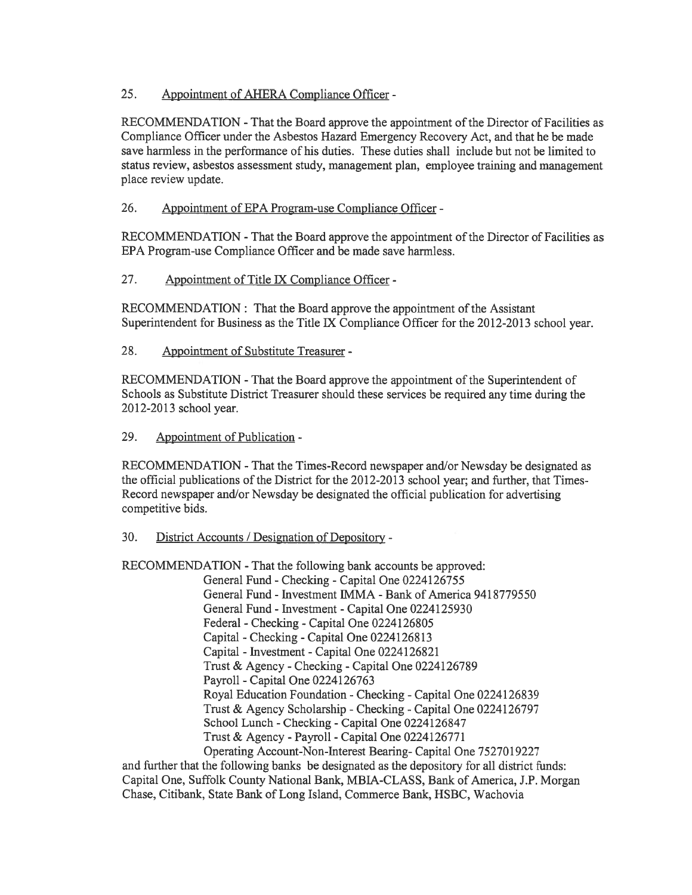### 25. Appointment of AHERA Compliance Officer -

RECOMMENDATION - That the Board approve the appointment of the Director of Facilities as Compliance Officer under the Asbestos Hazard Emergency Recovery Act, and that he be made save harmless in the performance of his duties. These duties shall include but not be limited to status review, asbestos assessment study, managemen<sup>t</sup> plan, employee training and managemen<sup>t</sup> place review update.

### 26. Appointment of EPA Program-use Compliance Officer -

RECOMMENDATION -That the Board approve the appointment of the Director of Facilities as EPA Program-use Compliance Officer and be made save harmless.

### 27. Appointment of Title IX Compliance Officer -

RECOMMENDATION: That the Board approve the appointment of the Assistant Superintendent for Business as the Title IX Compliance Officer for the 2012-2013 school year.

### 28. Appointment of Substitute Treasurer -

RECOMMENDATION -That the Board approve the appointment of the Superintendent of Schools as Substitute District Treasurer should these services be required any time during the 2012-2013 school year.

### 29. Appointment of Publication -

RECOMMENDATION -That the Times-Record newspaper and/or Newsday be designated as the official publications of the District for the  $2012-2013$  school year; and further, that Times-Record newspaper and/or Newsday be designated the official publication for advertising competitive bids.

### 30. District Accounts / Designation of Depository -

RECOMMENDATION -That the following bank accounts be approved:

General Fund -Checking -Capital One 0224126755 General Fund - Investment IMMA -Bank of America 9418779550 General Fund - Investment -Capital One 0224125930 Federal -Checking -Capital One 0224126805 Capital -Checking -Capital One 0224126813 Capital - Investment -Capital One 0224126821 Trust & Agency -Checking -Capital One 0224126789 Payroll -Capital One 0224126763 Royal Education Foundation -Checking -Capital One 0224126839 Trust & Agency Scholarship -Checking -Capital One 0224126797 School Lunch -Checking -Capital One 0224126847 Trust & Agency -Payroll -Capital One 0224126771 Operating Account-Non-Interest Bearing- Capital One 7527019227

and further that the following banks be designated as the depository for all district funds: Capital One, Suffolk County National Bank, MBIA-CLASS, Bank of America, J.P. Morgan Chase, Citibank, State Bank of Long Island, Commerce Bank, HSBC, Wachovia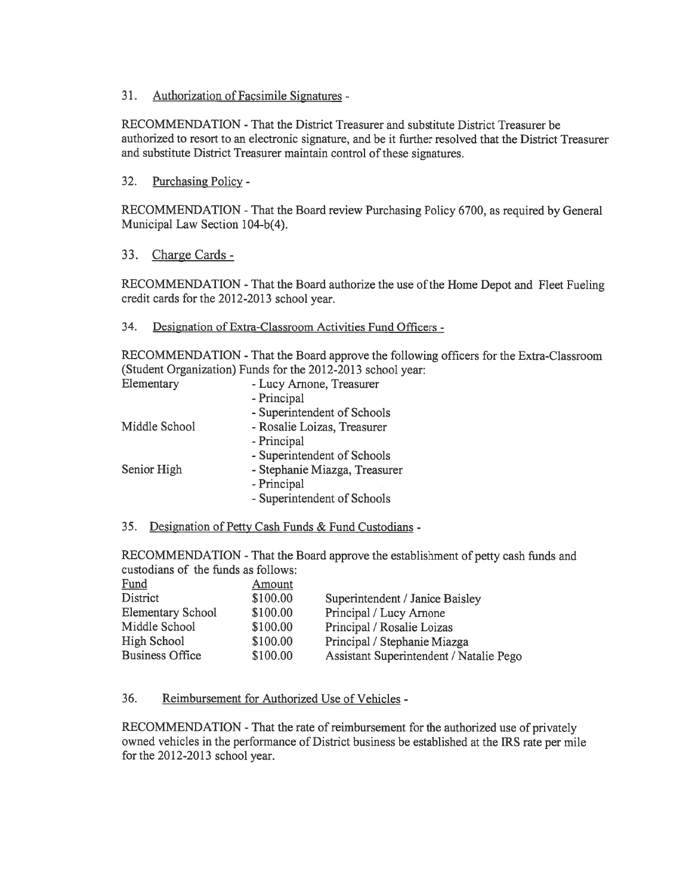31. Authorization of Facsimile Signatures -

RECOMMENDATION -That the District Treasurer and substitute District Treasurer be authorized to resort to an electronic signature, and be it further resolved that the District Treasurer and substitute District Treasurer maintain control of these signatures.

32. Purchasing Policy -

RECOMMENDATION -That the Board review Purchasing Policy 6700, as required by General Municipal Law Section 104-b(4).

33. Charge Cards -

RECOMMENDATION -That the Board authorize the use of the Home Depot and Fleet Fueling credit cards for the 2012-2013 school year.

#### 34. Designation of Extra-Classroom Activities Fund Officers -

RECOMMENDATION -That the Board approve the following officers for the Extra-Classroom (Student Organization) Funds for the 2012-2013 school year:

| Elementary    | - Lucy Arnone, Treasurer      |
|---------------|-------------------------------|
|               | - Principal                   |
|               | - Superintendent of Schools   |
| Middle School | - Rosalie Loizas, Treasurer   |
|               | - Principal                   |
|               | - Superintendent of Schools   |
| Senior High   | - Stephanie Miazga, Treasurer |
|               | - Principal                   |
|               | - Superintendent of Schools   |
|               |                               |

35. Designation of Petty Cash Funds & Fund Custodians -

RECOMMENDATION -That the Board approve the establishment of petty cash funds and custodians of the funds as follows:

| Fund                     | Amount   |                                         |
|--------------------------|----------|-----------------------------------------|
| District                 | \$100.00 | Superintendent / Janice Baisley         |
| <b>Elementary School</b> | \$100.00 | Principal / Lucy Arnone                 |
| Middle School            | \$100.00 | Principal / Rosalie Loizas              |
| High School              | \$100.00 | Principal / Stephanie Miazga            |
| <b>Business Office</b>   | \$100.00 | Assistant Superintendent / Natalie Pego |

#### 36. Reimbursement for Authorized Use of Vehicles -

RECOMMENDATION -That the rate of reimbursement for the authorized use of privately owned vehicles in the performance of District business be established at the IRS rate per mile for the 2012-2013 school year.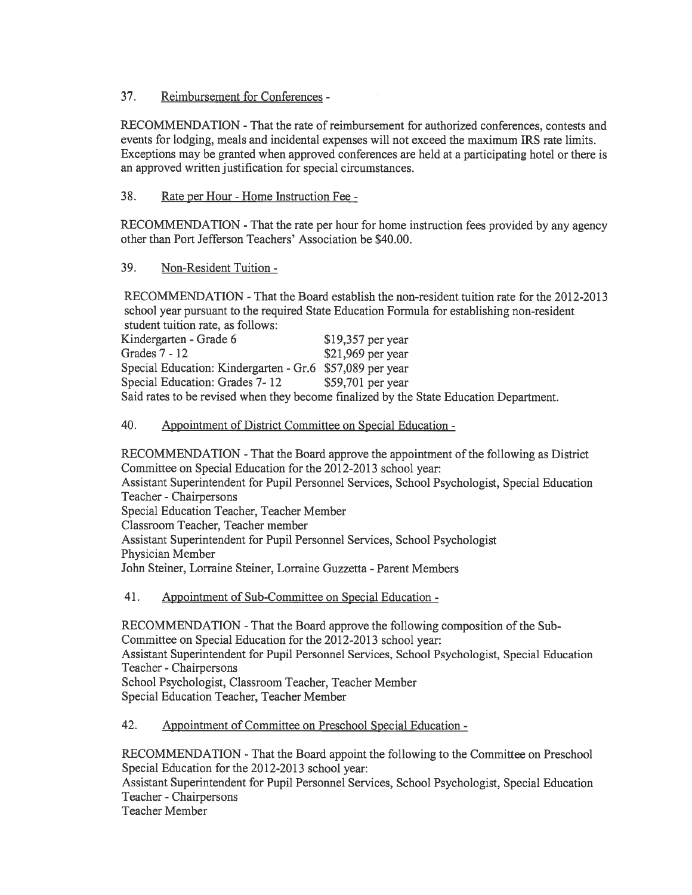37. Reimbursement for Conferences -

RECOMMENDATION -That the rate of reimbursement for authorized conferences, contests and events for lodging, meals and incidental expenses will not exceed the maximum IRS rate limits. Exceptions may be granted when approved conferences are held at <sup>a</sup> participating hotel or there is an approved written justification for special circumstances.

### 38. Rate per Hour -Home Instruction Fee -

RECOMMENDATION -That the rate per hour for home instruction fees provided by any agency other than Port Jefferson Teachers' Association be \$40.00.

### 39. Non-Resident Tuition -

RECOMMENDATION -That the Board establish the non-resident tuition rate for the 2012-20 13 school year pursuan<sup>t</sup> to the required State Education Formula for establishing non-resident student tuition rate, as follows:

| <u>UPMWYALY PMANAQAA AMPWE WU AQAAQIIDI</u>              |                                                                                        |
|----------------------------------------------------------|----------------------------------------------------------------------------------------|
| Kindergarten - Grade 6                                   | $$19,357$ per year                                                                     |
| Grades 7 - 12                                            | $$21,969$ per year                                                                     |
| Special Education: Kindergarten - Gr.6 \$57,089 per year |                                                                                        |
| Special Education: Grades 7-12                           | $$59,701$ per year                                                                     |
|                                                          | Said rates to be revised when they become finalized by the State Education Department. |

### 40. Appointment of District Committee on Special Education -

RECOMMENDATION -That the Board approve the appointment of the following as District Committee on Special Education for the 2012-2013 school year: Assistant Superintendent for Pupil Personnel Services, School Psychologist, Special Education Teacher -Chairpersons Special Education Teacher, Teacher Member Classroom Teacher, Teacher member Assistant Superintendent for Pupil Personnel Services, School Psychologist Physician Member John Steiner, Lorraine Steiner, Lorraine Guzzetta - Parent Members

41. Appointment of Sub-Committee on Special Education -

RECOMMENDATION -That the Board approve the following composition of the Sub Committee on Special Education for the 2012-2013 school year: Assistant Superintendent for Pupil Personnel Services, School Psychologist, Special Education Teacher -Chairpersons School Psychologist, Classroom Teacher, Teacher Member Special Education Teacher, Teacher Member

#### 42. Appointment of Committee on Preschool Special Education -

RECOMMENDATION -That the Board appoint the following to the Committee on Preschool Special Education for the 2012-2013 school year: Assistant Superintendent for Pupil Personnel Services, School Psychologist, Special Education Teacher -Chairpersons Teacher Member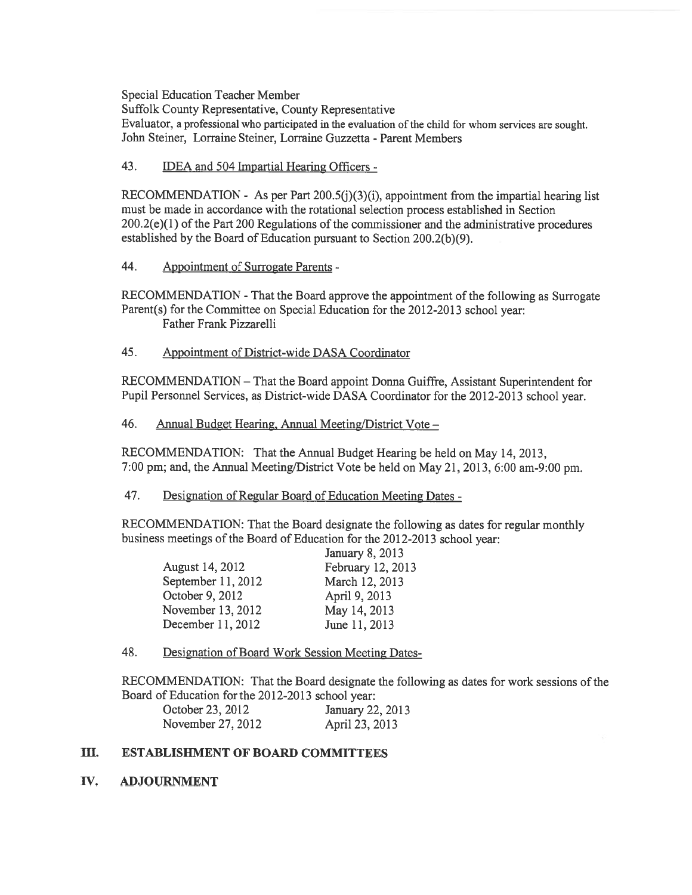Special Education Teacher Member

Suffolk County Representative, County Representative

Evaluator, a professional who participated in the evaluation of the child for whom services are sought. John Steiner, Lorraine Steiner, Lorraine Guzzetta -Parent Members

43. IDEA and 504 Impartial Hearing Officers -

RECOMMENDATION - As per Part  $200.5(j)(3)(i)$ , appointment from the impartial hearing list must be made in accordance with the rotational selection process established in Section 200.2(e)(1) of the Part <sup>200</sup> Regulations of the commissioner and the administrative procedures established by the Board of Education pursuan<sup>t</sup> to Section 200.2(b)(9).

44. Appointment of Surrogate Parents -

RECOMMENDATION -That the Board approve the appointment of the following as Surrogate Parent(s) for the Committee on Special Education for the 2012-2013 school year: Father Frank Pizzarelli

45. Appointment of District-wide DASA Coordinator

RECOMMENDATION — That the Board appoint Donna Guiffre, Assistant Superintendent for Pupil Personnel Services, as District-wide DASA Coordinator for the 2012-2013 school year.

46. Annual Budget Hearing, Annual Meeting/District Vote —

RECOMMENDATION: That the Annual Budget Hearing be held on May 14, 2013, 7:00 pm; and, the Annual Meeting/District Vote be held on May 21, 2013, 6:00 am-9:00 pm.

47. Designation of Regular Board of Education Meeting Dates -

RECOMMENDATION: That the Board designate the following as dates for regular monthly business meetings of the Board of Education for the 2012-2013 school year:

|                    | January 8, 2013   |
|--------------------|-------------------|
| August 14, 2012    | February 12, 2013 |
| September 11, 2012 | March 12, 2013    |
| October 9, 2012    | April 9, 2013     |
| November 13, 2012  | May 14, 2013      |
| December 11, 2012  | June 11, 2013     |
|                    |                   |

48. Designation of Board Work Session Meeting Dates

RECOMMENDATION: That the Board designate the following as dates for work sessions ofthe Board of Education for the 2012-2013 school year:

| October 23, 2012  | January 22, 2013 |
|-------------------|------------------|
| November 27, 2012 | April 23, 2013   |

### III. ESTABLISHMENT OF BOARD COMMITTEES

IV. ADJOURNMENT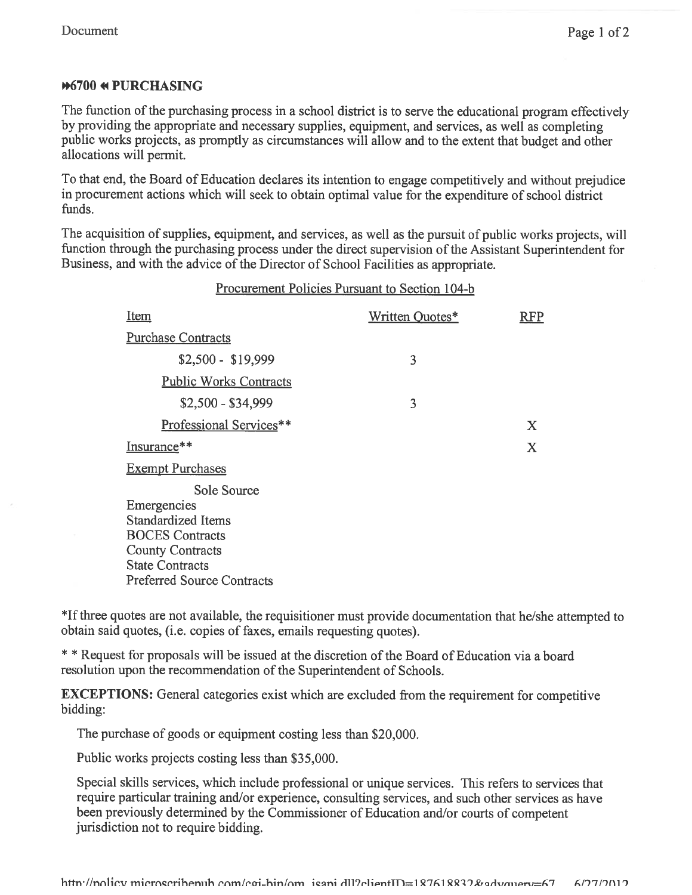## **#6700 \* PURCHASING**

The function of the purchasing process in a school district is to serve the educational program effectively by providing the appropriate and necessary supplies, equipment, and services, as well as completing public works projects, as promptly as circumstances will allow and to the extent that budget and other allocations will permit.

To that end, the Board of Education declares its intention to engage competitively and without prejudice in procuremen<sup>t</sup> actions which will seek to obtain optimal value for the expenditure of school district funds.

The acquisition of supplies, equipment, and services, as well as the pursuit of public works projects, will function through the purchasing process under the direct supervision of the Assistant Superintendent for Business, and with the advice of the Director of School Facilities as appropriate.

| Procurement Policies Pursuant to Section 104-b                                                                                  |                 |            |  |
|---------------------------------------------------------------------------------------------------------------------------------|-----------------|------------|--|
| <b>Item</b>                                                                                                                     | Written Quotes* | <b>RFP</b> |  |
| <b>Purchase Contracts</b>                                                                                                       |                 |            |  |
| $$2,500 - $19,999$                                                                                                              | 3               |            |  |
| <b>Public Works Contracts</b>                                                                                                   |                 |            |  |
| $$2,500 - $34,999$                                                                                                              | 3               |            |  |
| Professional Services**                                                                                                         |                 | X          |  |
| Insurance**                                                                                                                     |                 | X          |  |
| <b>Exempt Purchases</b>                                                                                                         |                 |            |  |
| Sole Source<br>Emergencies<br>Standardized Items<br><b>BOCES</b> Contracts<br><b>County Contracts</b><br><b>State Contracts</b> |                 |            |  |

\*Jf three quotes are not available, the requisitioner must provide documentation that he/she attempted to obtain said quotes, (i.e. copies of faxes, emails requesting quotes).

\* \* Request for proposals will be issued at the discretion of the Board of Education via <sup>a</sup> board resolution upon the recommendation of the Superintendent of Schools.

EXCEPTIONS: General categories exist which are excluded from the requirement for competitive bidding:

The purchase of goods or equipment costing less than \$20,000.

Public works projects costing less than \$35,000.

Preferred Source Contracts

Special skills services, which include professional or unique services. This refers to services that require particular training and/or experience, consulting services, and such other services as have been previously determined by the Commissioner of Education and/or courts of competent jurisdiction not to require bidding.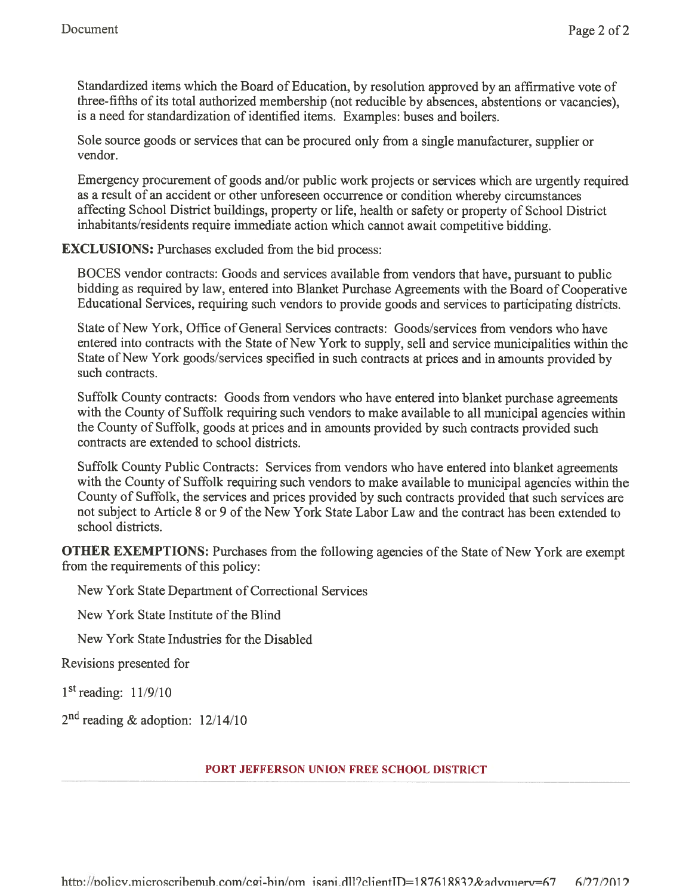Standardized items which the Board of Education, by resolution approve<sup>d</sup> by an affirmative vote of three-fifths of its total authorized membership (not reducible by absences, abstentions or vacancies), is a need for standardization of identified items. Examples: buses and boilers.

Sole source goods or services that can be procured only from <sup>a</sup> single manufacturer, supplier or vendor.

Emergency procuremen<sup>t</sup> of goods and/or public work projects or services which are urgently required as <sup>a</sup> result of an accident or other unforeseen occurrence or condition whereby circumstances affecting School District buildings, property or life, health or safety or property of School District inhabitants/residents require immediate action which cannot await competitive bidding.

EXCLUSIONS: Purchases excluded from the bid process:

BOCES vendor contracts: Goods and services available from vendors that have, pursuan<sup>t</sup> to public bidding as required by law, entered into Blanket Purchase Agreements with the Board of Cooperative Educational Services, requiring such vendors to provide goods and services to participating districts.

State of New York, Office of General Services contracts: Goods/services from vendors who have entered into contracts with the State of New York to supply, sell and service municipalities within the State of New York goods/services specified in such contracts at prices and in amounts provided by such contracts.

Suffolk County contracts: Goods from vendors who have entered into blanket purchase agreements with the County of Suffolk requiring such vendors to make available to all municipal agencies within the County of Suffolk, goods at prices and in amounts provided by such contracts provided such contracts are extended to school districts.

Suffolk County Public Contracts: Services from vendors who have entered into blanket agreements with the County of Suffolk requiring such vendors to make available to municipal agencies within the County of Suffolk, the services and prices provided by such contracts provided that such services are not subject to Article 8 or 9 of the New York State Labor Law and the contract has been extended to school districts.

**OTHER EXEMPTIONS:** Purchases from the following agencies of the State of New York are exempt from the requirements of this policy:

New York State Department of Correctional Services

New York State Institute of the Blind

New York State Industries for the Disabled

Revisions presented for

1st reading: 11/9/10

 $2<sup>nd</sup>$  reading & adoption: 12/14/10

### PORT JEFFERSON UNION FREE SCHOOL DISTRICT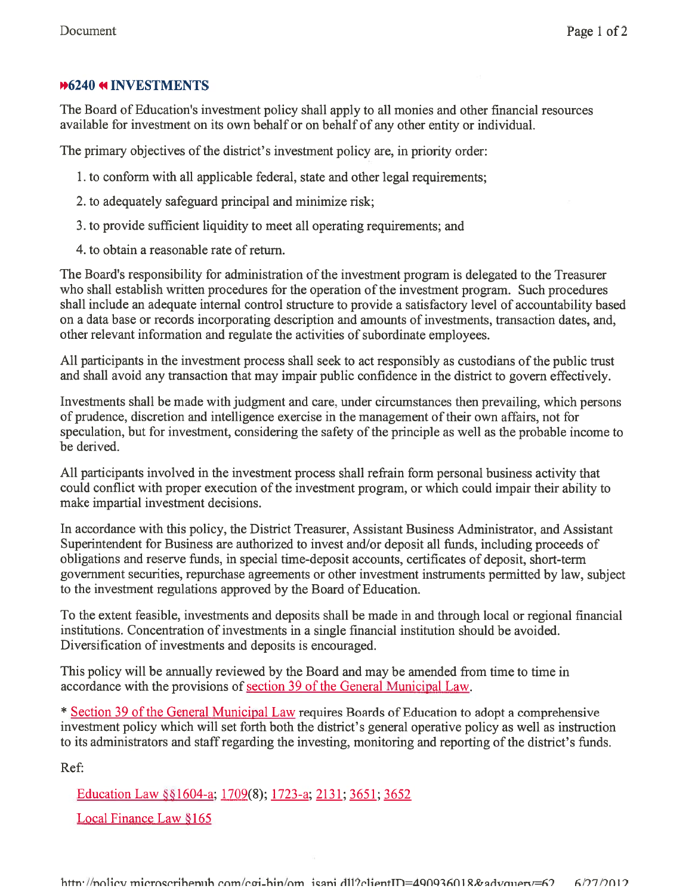# **M6240 MINVESTMENTS**

The Board of Education's investment policy shall apply to all monies and other financial resources available for investment on its own behalf or on behalf of any other entity or individual.

The primary objectives of the district's investment policy are, in priority order:

- 1. to conform with all applicable federal, state and other legal requirements;
- 2. to adequately safeguard principal and minimize risk;
- 3. to provide sufficient liquidity to meet all operating requirements; and
- 4. to obtain <sup>a</sup> reasonable rate of return.

The Board's responsibility for administration of the investment program is delegated to the Treasurer who shall establish written procedures for the operation of the investment program. Such procedures shall include an adequate internal control structure to provide <sup>a</sup> satisfactory level of accountability based on <sup>a</sup> data base or records incorporating description and amounts of investments, transaction dates, and, other relevant information and regulate the activities of subordinate employees.

All participants in the investment process shall seek to act responsibly as custodians of the public trust and shall avoid any transaction that may impair public confidence in the district to govern effectively.

Investments shall be made with judgment and care, under circumstances then prevailing, which persons of prudence, discretion and intelligence exercise in the managemen<sup>t</sup> of their own affairs, not for speculation, but for investment, considering the safety of the principle as well as the probable income to be derived.

All participants involved in the investment process shall refrain form personal business activity that could conflict with proper execution of the investment program, or which could impair their ability to make impartial investment decisions.

In accordance with this policy, the District Treasurer, Assistant Business Administrator, and Assistant Superintendent for Business are authorized to invest and/or deposit all funds, including proceeds of obligations and reserve funds, in special time-deposit accounts, certificates of deposit, short-term governmen<sup>t</sup> securities, repurchase agreements or other investment instruments permitted by law, subject to the investment regulations approved by the Board of Education.

To the extent feasible, investments and deposits shall be made in and through local or regional financial institutions. Concentration of investments in <sup>a</sup> single financial institution should be avoided. Diversification of investments and deposits is encouraged.

This policy will be annually reviewed by the Board and may be amended from time to time in accordance with the provisions of section 39 of the General Municipal Law.

\* Section 39 of the General Municipal Law requires Boards of Education to adopt <sup>a</sup> comprehensive investment policy which will set forth both the district's general operative policy as well as instruction to its administrators and staffregarding the investing, monitoring and reporting of the district's funds.

Ref:

Education Law §§1604-a; 1709(8); 1723-a; 2131; 3651; 3652

Local Finance Law §165